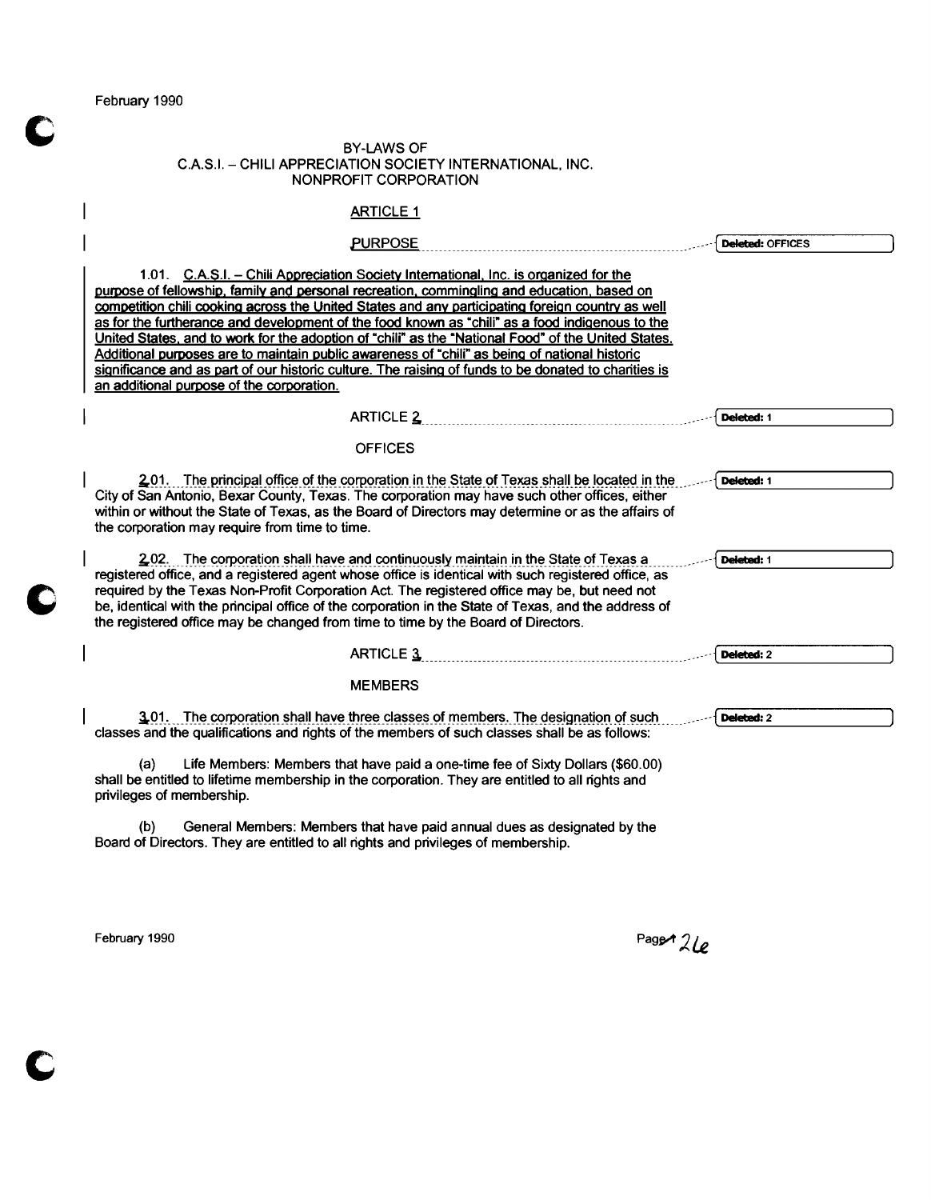February 1990

 $\overline{\phantom{a}}$ 

#### BY-LAWS OF CAS.1. - CHILI APPRECIATION SOCIETY INTERNATIONAL, INC. NONPROFIT CORPORATION

# **ARTICLE 1**

| <b>PURPOSE</b>                                                                                                                                                                                                                                                                                                                                                                                                                                                                                                                                                                                                                                                                                                                                         | Deleted: OFFICES |
|--------------------------------------------------------------------------------------------------------------------------------------------------------------------------------------------------------------------------------------------------------------------------------------------------------------------------------------------------------------------------------------------------------------------------------------------------------------------------------------------------------------------------------------------------------------------------------------------------------------------------------------------------------------------------------------------------------------------------------------------------------|------------------|
| 1.01. C.A.S.I. - Chili Appreciation Society International, Inc. is organized for the<br>purpose of fellowship, family and personal recreation, commingling and education, based on<br>competition chili cooking across the United States and any participating foreign country as well<br>as for the furtherance and development of the food known as "chili" as a food indigenous to the<br>United States, and to work for the adoption of "chili" as the "National Food" of the United States.<br>Additional purposes are to maintain public awareness of "chili" as being of national historic<br>significance and as part of our historic culture. The raising of funds to be donated to charities is<br>an additional purpose of the corporation. |                  |
| <b>ARTICLE 2</b>                                                                                                                                                                                                                                                                                                                                                                                                                                                                                                                                                                                                                                                                                                                                       | Deleted: 1       |
| <b>OFFICES</b>                                                                                                                                                                                                                                                                                                                                                                                                                                                                                                                                                                                                                                                                                                                                         |                  |
| 201. The principal office of the corporation in the State of Texas shall be located in the<br>City of San Antonio, Bexar County, Texas. The corporation may have such other offices, either<br>within or without the State of Texas, as the Board of Directors may determine or as the affairs of<br>the corporation may require from time to time.                                                                                                                                                                                                                                                                                                                                                                                                    | Deleted: 1       |
| 202. The corporation shall have and continuously maintain in the State of Texas a<br>registered office, and a registered agent whose office is identical with such registered office, as<br>required by the Texas Non-Profit Corporation Act. The registered office may be, but need not<br>be, identical with the principal office of the corporation in the State of Texas, and the address of<br>the registered office may be changed from time to time by the Board of Directors.                                                                                                                                                                                                                                                                  | Deleted: 1       |
| <b>ARTICLE 3</b>                                                                                                                                                                                                                                                                                                                                                                                                                                                                                                                                                                                                                                                                                                                                       | Deleted: 2       |
| <b>MEMBERS</b>                                                                                                                                                                                                                                                                                                                                                                                                                                                                                                                                                                                                                                                                                                                                         |                  |
| 3.01. The corporation shall have three classes of members. The designation of such<br>classes and the qualifications and rights of the members of such classes shall be as follows:                                                                                                                                                                                                                                                                                                                                                                                                                                                                                                                                                                    | Deleted: 2       |
| Life Members: Members that have paid a one-time fee of Sixty Dollars (\$60.00)<br>(a)<br>shall be entitled to lifetime membership in the corporation. They are entitled to all rights and<br>privileges of membership.                                                                                                                                                                                                                                                                                                                                                                                                                                                                                                                                 |                  |
| (b)<br>General Members: Members that have paid annual dues as designated by the                                                                                                                                                                                                                                                                                                                                                                                                                                                                                                                                                                                                                                                                        |                  |

Board of Directors. They are entitled to all rights and privileges of membership.

February 1990 Page  $\ell$  21 $\ell$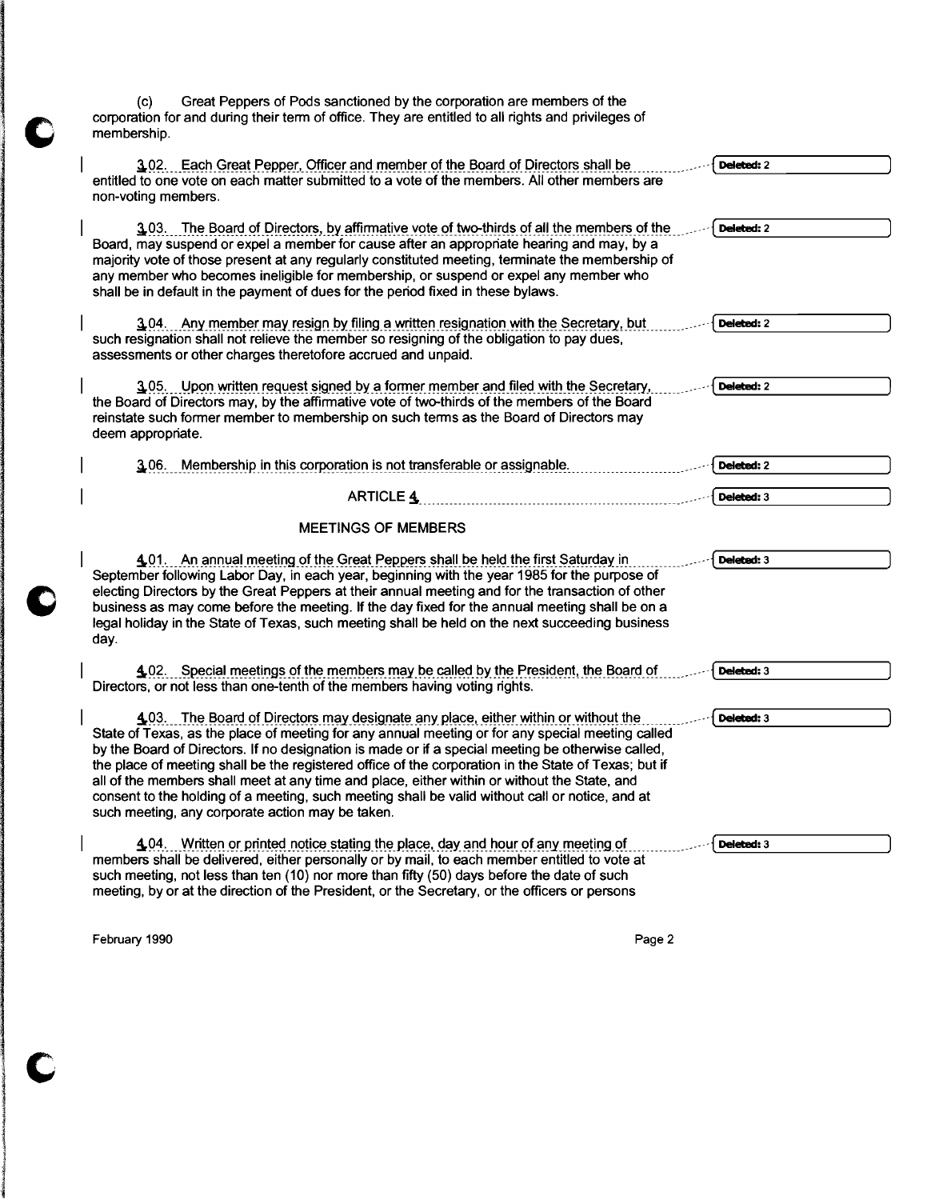(c) Great Peppers of Pods sanctioned by the corporation are members of the corporation for and during their term of office. They are entitled to all rights and privileges of membership.

| 3.02. Each Great Pepper, Officer and member of the Board of Directors shall be<br>entitled to one vote on each matter submitted to a vote of the members. All other members are                                                                                                                                                                                                                                                                                                                                                                                                                                                                            | Deleted: 2 |
|------------------------------------------------------------------------------------------------------------------------------------------------------------------------------------------------------------------------------------------------------------------------------------------------------------------------------------------------------------------------------------------------------------------------------------------------------------------------------------------------------------------------------------------------------------------------------------------------------------------------------------------------------------|------------|
| non-voting members.                                                                                                                                                                                                                                                                                                                                                                                                                                                                                                                                                                                                                                        |            |
| 3.03. The Board of Directors, by affirmative vote of two-thirds of all the members of the<br>Board, may suspend or expel a member for cause after an appropriate hearing and may, by a<br>majority vote of those present at any regularly constituted meeting, terminate the membership of<br>any member who becomes ineligible for membership, or suspend or expel any member who<br>shall be in default in the payment of dues for the period fixed in these bylaws.                                                                                                                                                                                     | Deleted: 2 |
| 3.04. Any member may resign by filing a written resignation with the Secretary, but<br>such resignation shall not relieve the member so resigning of the obligation to pay dues,<br>assessments or other charges theretofore accrued and unpaid.                                                                                                                                                                                                                                                                                                                                                                                                           | Deleted: 2 |
| 3.05. Upon written request signed by a former member and filed with the Secretary,<br>the Board of Directors may, by the affirmative vote of two-thirds of the members of the Board<br>reinstate such former member to membership on such terms as the Board of Directors may<br>deem appropriate.                                                                                                                                                                                                                                                                                                                                                         | Deleted: 2 |
| 3.06. Membership in this corporation is not transferable or assignable.                                                                                                                                                                                                                                                                                                                                                                                                                                                                                                                                                                                    | Deleted: 2 |
| <b>ARTICLE 4</b>                                                                                                                                                                                                                                                                                                                                                                                                                                                                                                                                                                                                                                           | Deleted: 3 |
| <b>MEETINGS OF MEMBERS</b>                                                                                                                                                                                                                                                                                                                                                                                                                                                                                                                                                                                                                                 |            |
| 4.01. An annual meeting of the Great Peppers shall be held the first Saturday in<br>September following Labor Day, in each year, beginning with the year 1985 for the purpose of<br>electing Directors by the Great Peppers at their annual meeting and for the transaction of other<br>business as may come before the meeting. If the day fixed for the annual meeting shall be on a<br>legal holiday in the State of Texas, such meeting shall be held on the next succeeding business<br>day.                                                                                                                                                          | Deleted: 3 |
| 4.02. Special meetings of the members may be called by the President, the Board of<br>Directors, or not less than one-tenth of the members having voting rights.                                                                                                                                                                                                                                                                                                                                                                                                                                                                                           | Deleted: 3 |
| 4.03. The Board of Directors may designate any place, either within or without the<br>State of Texas, as the place of meeting for any annual meeting or for any special meeting called<br>by the Board of Directors. If no designation is made or if a special meeting be otherwise called,<br>the place of meeting shall be the registered office of the corporation in the State of Texas; but if<br>all of the members shall meet at any time and place, either within or without the State, and<br>consent to the holding of a meeting, such meeting shall be valid without call or notice, and at<br>such meeting, any corporate action may be taken. | Deleted: 3 |
| 4.04. Written or printed notice stating the place, day and hour of any meeting of<br>members shall be delivered, either personally or by mail, to each member entitled to vote at<br>such meeting, not less than ten (10) nor more than fifty (50) days before the date of such<br>meeting, by or at the direction of the President, or the Secretary, or the officers or persons                                                                                                                                                                                                                                                                          | Deleted: 3 |

February 1990 **Page 2** 

1

**International Property and Property Association** 

1996<br>1996<br>1997 - Paris Barcelona, política española<br>1997 - Paris Barcelona, política española

 $|$   $\mathbf{C}$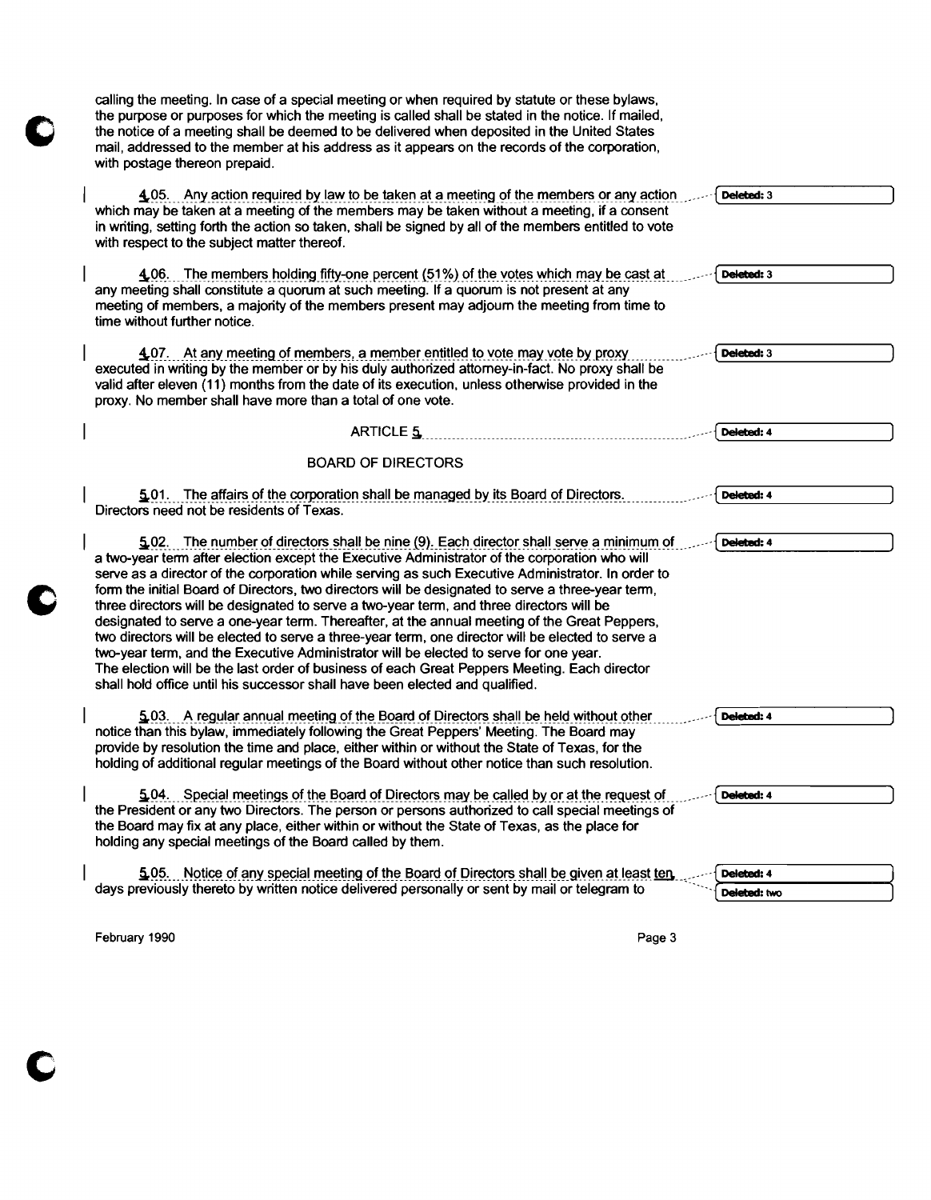calling the meeting. In case of a special meeting or when required by statute or these bylaws, the purpose or purposes for which the meeting is called shall be stated in the notice. If mailed, the notice of a meeting shall be deemed to be delivered when deposited in the United States mail, addressed to the member at his address as it appears on the records of the corporation, with postage thereon prepaid. 4.05. Any action required by law to be taken at a meeting of the members or any action Deleted : 3 which may be taken at a meeting of the members may be taken without a meeting, if a consent in writing, setting forth the action so taken, shall be signed by all of the members entitled to vote with respect to the subject matter thereof. 4.06. The members holding fifty-one percent (51%) of the votes which may be cast at Deleted: 3 any meeting shall constitute a quorum at such meeting. If a quorum is not present at any meeting of members, a majority of the members present may adjourn the meeting from time to time without further notice. 4.07. At any meeting of members, a member entitled to vote may vote by proxy  $\overline{\phantom{a}}$ Deleted:  $3$ executed in writing by the member or by his duly authorized attorney-in-fact. No proxy shall be valid after eleven (11) months from the date of its execution, unless otherwise provided in the proxy. No member shall have more than a total of one vote. \_\_ -----{~DeIeted:4 ----J ARTICLE ~m\_\_ m m mm BOARD OF DIRECTORS  $5.01$ . The affairs of the corporation shall be managed by its Board of Directors. Deleted: 4 Directors need not be residents of Texas.  $-$  5,02. The number of directors shall be nine (9). Each director shall serve a minimum of Deleted: 4 a two-year term after election except the Executive Administrator of the corporation who will serve as a director of the corporation while serving as such Executive Administrator. In order to form the initial Board of Directors, two directors will be designated to serve a three-year term, three directors will be designated to serve a two-year term, and three directors will be designated to serve a one-year term. Thereafter, at the annual meeting of the Great Peppers, two directors will be elected to serve a three-year term, one director will be elected to serve a two-year term, and the Executive Administrator will be elected to serve for one year. The election will be the last order of business of each Great Peppers Meeting. Each director shall hold office until his successor shall have been elected and qualified.  $\leq$  03. A regular annual meeting of the Board of Directors shall be held without other Deleted: 4 notice than this bylaw, immediately following the Great Peppers' Meeting. The Board may provide by resolution the time and place, either within or without the State of Texas, for the holding of additional regular meetings of the Board without other notice than such resolution. 5.04. Special meetings of the Board of Directors may be called by or at the request of Deleted: 4 the President or any two Directors. The person or persons authorized to call special meetings of the Board may fix at any place, either within or without the State of Texas, as the place for holding any special meetings of the Board called by them. 5.05. Notice of any special meeting of the Board of Directors shall be given at least ten section of the deleted: 4<br>days previously thereto by written notice delivered personally or sent by mail or telegram to Deleted: 4

February 1990 **Page 3**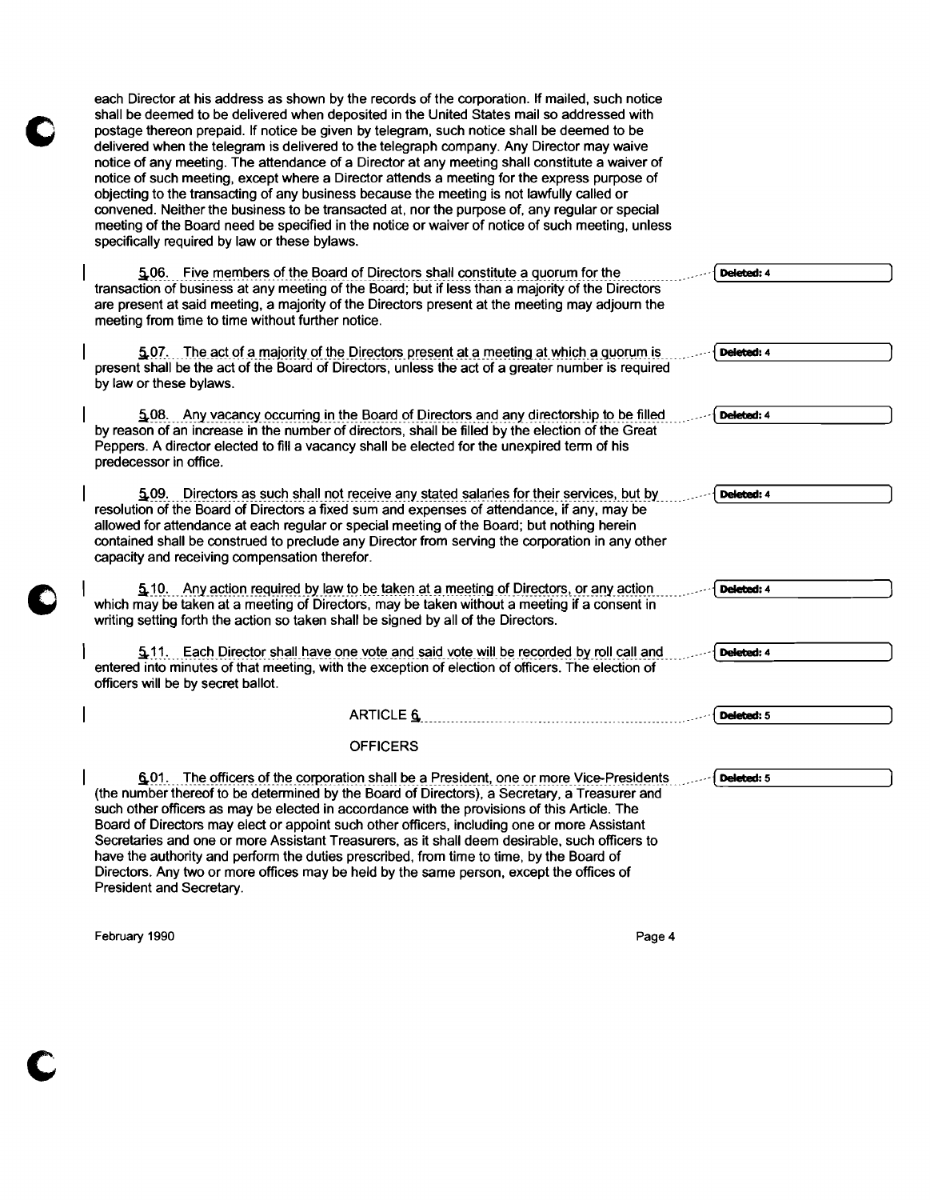| each Director at his address as shown by the records of the corporation. If mailed, such notice<br>shall be deemed to be delivered when deposited in the United States mail so addressed with<br>postage thereon prepaid. If notice be given by telegram, such notice shall be deemed to be<br>delivered when the telegram is delivered to the telegraph company. Any Director may waive<br>notice of any meeting. The attendance of a Director at any meeting shall constitute a waiver of<br>notice of such meeting, except where a Director attends a meeting for the express purpose of<br>objecting to the transacting of any business because the meeting is not lawfully called or<br>convened. Neither the business to be transacted at, nor the purpose of, any regular or special<br>meeting of the Board need be specified in the notice or waiver of notice of such meeting, unless<br>specifically required by law or these bylaws. |            |  |
|--------------------------------------------------------------------------------------------------------------------------------------------------------------------------------------------------------------------------------------------------------------------------------------------------------------------------------------------------------------------------------------------------------------------------------------------------------------------------------------------------------------------------------------------------------------------------------------------------------------------------------------------------------------------------------------------------------------------------------------------------------------------------------------------------------------------------------------------------------------------------------------------------------------------------------------------------|------------|--|
| 5.06. Five members of the Board of Directors shall constitute a quorum for the<br>transaction of business at any meeting of the Board; but if less than a majority of the Directors<br>are present at said meeting, a majority of the Directors present at the meeting may adjourn the<br>meeting from time to time without further notice.                                                                                                                                                                                                                                                                                                                                                                                                                                                                                                                                                                                                      | Deleted: 4 |  |
| 5.07. The act of a majority of the Directors present at a meeting at which a quorum is<br>present shall be the act of the Board of Directors, unless the act of a greater number is required<br>by law or these bylaws.                                                                                                                                                                                                                                                                                                                                                                                                                                                                                                                                                                                                                                                                                                                          | Deleted: 4 |  |
| 5.08. Any vacancy occurring in the Board of Directors and any directorship to be filled<br>by reason of an increase in the number of directors, shall be filled by the election of the Great<br>Peppers. A director elected to fill a vacancy shall be elected for the unexpired term of his<br>predecessor in office.                                                                                                                                                                                                                                                                                                                                                                                                                                                                                                                                                                                                                           | Deleted: 4 |  |
| 5.09. Directors as such shall not receive any stated salaries for their services, but by<br>resolution of the Board of Directors a fixed sum and expenses of attendance, if any, may be<br>allowed for attendance at each regular or special meeting of the Board; but nothing herein<br>contained shall be construed to preclude any Director from serving the corporation in any other<br>capacity and receiving compensation therefor.                                                                                                                                                                                                                                                                                                                                                                                                                                                                                                        | Deleted: 4 |  |
| 5.10. Any action required by law to be taken at a meeting of Directors, or any action<br>which may be taken at a meeting of Directors, may be taken without a meeting if a consent in<br>writing setting forth the action so taken shall be signed by all of the Directors.                                                                                                                                                                                                                                                                                                                                                                                                                                                                                                                                                                                                                                                                      | Deleted: 4 |  |
| 5.11. Each Director shall have one vote and said vote will be recorded by roll call and<br>entered into minutes of that meeting, with the exception of election of officers. The election of<br>officers will be by secret ballot.                                                                                                                                                                                                                                                                                                                                                                                                                                                                                                                                                                                                                                                                                                               | Deleted: 4 |  |
| <b>ARTICLE 6</b>                                                                                                                                                                                                                                                                                                                                                                                                                                                                                                                                                                                                                                                                                                                                                                                                                                                                                                                                 | Deleted: 5 |  |
| <b>OFFICERS</b>                                                                                                                                                                                                                                                                                                                                                                                                                                                                                                                                                                                                                                                                                                                                                                                                                                                                                                                                  |            |  |
| 6.01. The officers of the corporation shall be a President, one or more Vice-Presidents<br>(the number thereof to be determined by the Board of Directors), a Secretary, a Treasurer and<br>such other officers as may be elected in accordance with the provisions of this Article. The<br>Board of Directors may elect or appoint such other officers, including one or more Assistant<br>Secretaries and one or more Assistant Treasurers, as it shall deem desirable, such officers to<br>have the authority and perform the duties prescribed, from time to time, by the Board of<br>Directors. Any two or more offices may be held by the same person, except the offices of<br>President and Secretary.                                                                                                                                                                                                                                   | Deleted: 5 |  |

February 1990 **Page 4** 

c

 $\mathbf C$ 

O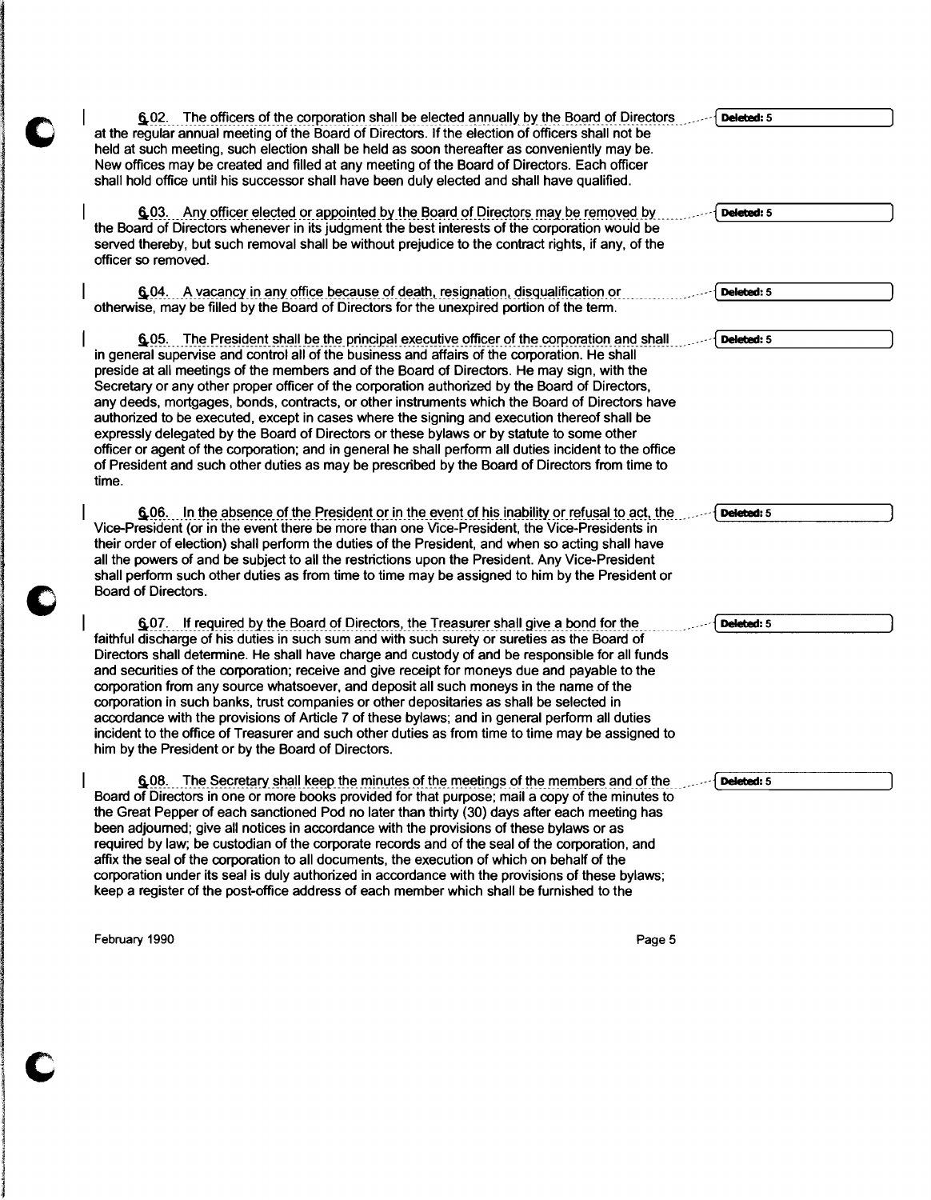| 6.02. The officers of the corporation shall be elected annually by the Board of Directors                                                                                                                                                                                                                                                                                                                                                                                                                                                                                                                                                                                                                                                                                                                                                                                                                      | Deleted: 5 |
|----------------------------------------------------------------------------------------------------------------------------------------------------------------------------------------------------------------------------------------------------------------------------------------------------------------------------------------------------------------------------------------------------------------------------------------------------------------------------------------------------------------------------------------------------------------------------------------------------------------------------------------------------------------------------------------------------------------------------------------------------------------------------------------------------------------------------------------------------------------------------------------------------------------|------------|
| at the regular annual meeting of the Board of Directors. If the election of officers shall not be<br>held at such meeting, such election shall be held as soon thereafter as conveniently may be.<br>New offices may be created and filled at any meeting of the Board of Directors. Each officer<br>shall hold office until his successor shall have been duly elected and shall have qualified.                                                                                                                                                                                                                                                                                                                                                                                                                                                                                                              |            |
| 6.03. Any officer elected or appointed by the Board of Directors may be removed by<br>the Board of Directors whenever in its judgment the best interests of the corporation would be<br>served thereby, but such removal shall be without prejudice to the contract rights, if any, of the<br>officer so removed.                                                                                                                                                                                                                                                                                                                                                                                                                                                                                                                                                                                              | Deleted: 5 |
| 6.04. A vacancy in any office because of death, resignation, disqualification or<br>otherwise, may be filled by the Board of Directors for the unexpired portion of the term.                                                                                                                                                                                                                                                                                                                                                                                                                                                                                                                                                                                                                                                                                                                                  | Deleted: 5 |
| 6.05. The President shall be the principal executive officer of the corporation and shall<br>in general supervise and control all of the business and affairs of the corporation. He shall<br>preside at all meetings of the members and of the Board of Directors. He may sign, with the<br>Secretary or any other proper officer of the corporation authorized by the Board of Directors,<br>any deeds, mortgages, bonds, contracts, or other instruments which the Board of Directors have<br>authorized to be executed, except in cases where the signing and execution thereof shall be<br>expressly delegated by the Board of Directors or these bylaws or by statute to some other<br>officer or agent of the corporation; and in general he shall perform all duties incident to the office<br>of President and such other duties as may be prescribed by the Board of Directors from time to<br>time. | Deleted: 5 |
| 6.06. In the absence of the President or in the event of his inability or refusal to act, the<br>Vice-President (or in the event there be more than one Vice-President, the Vice-Presidents in<br>their order of election) shall perform the duties of the President, and when so acting shall have<br>all the powers of and be subject to all the restrictions upon the President. Any Vice-President<br>shall perform such other duties as from time to time may be assigned to him by the President or<br>Board of Directors.                                                                                                                                                                                                                                                                                                                                                                               | Deleted: 5 |
| 6.07. If required by the Board of Directors, the Treasurer shall give a bond for the<br>faithful discharge of his duties in such sum and with such surety or sureties as the Board of<br>Directors shall determine. He shall have charge and custody of and be responsible for all funds<br>and securities of the corporation; receive and give receipt for moneys due and payable to the<br>corporation from any source whatsoever, and deposit all such moneys in the name of the<br>corporation in such banks, trust companies or other depositaries as shall be selected in<br>accordance with the provisions of Article 7 of these bylaws; and in general perform all duties<br>incident to the office of Treasurer and such other duties as from time to time may be assigned to<br>him by the President or by the Board of Directors.                                                                   | Deleted: 5 |
| The Secretary shall keep the minutes of the meetings of the members and of the<br>6.08.<br>Board of Directors in one or more books provided for that purpose; mail a copy of the minutes to<br>the Great Pepper of each sanctioned Pod no later than thirty (30) days after each meeting has<br>been adjourned; give all notices in accordance with the provisions of these bylaws or as<br>required by law; be custodian of the corporate records and of the seal of the corporation, and<br>affix the seal of the corporation to all documents, the execution of which on behalf of the<br>corporation under its seal is duly authorized in accordance with the provisions of these bylaws;<br>keep a register of the post-office address of each member which shall be furnished to the                                                                                                                     | Deleted: 5 |

February 1990 **Page 5** 

C

C

C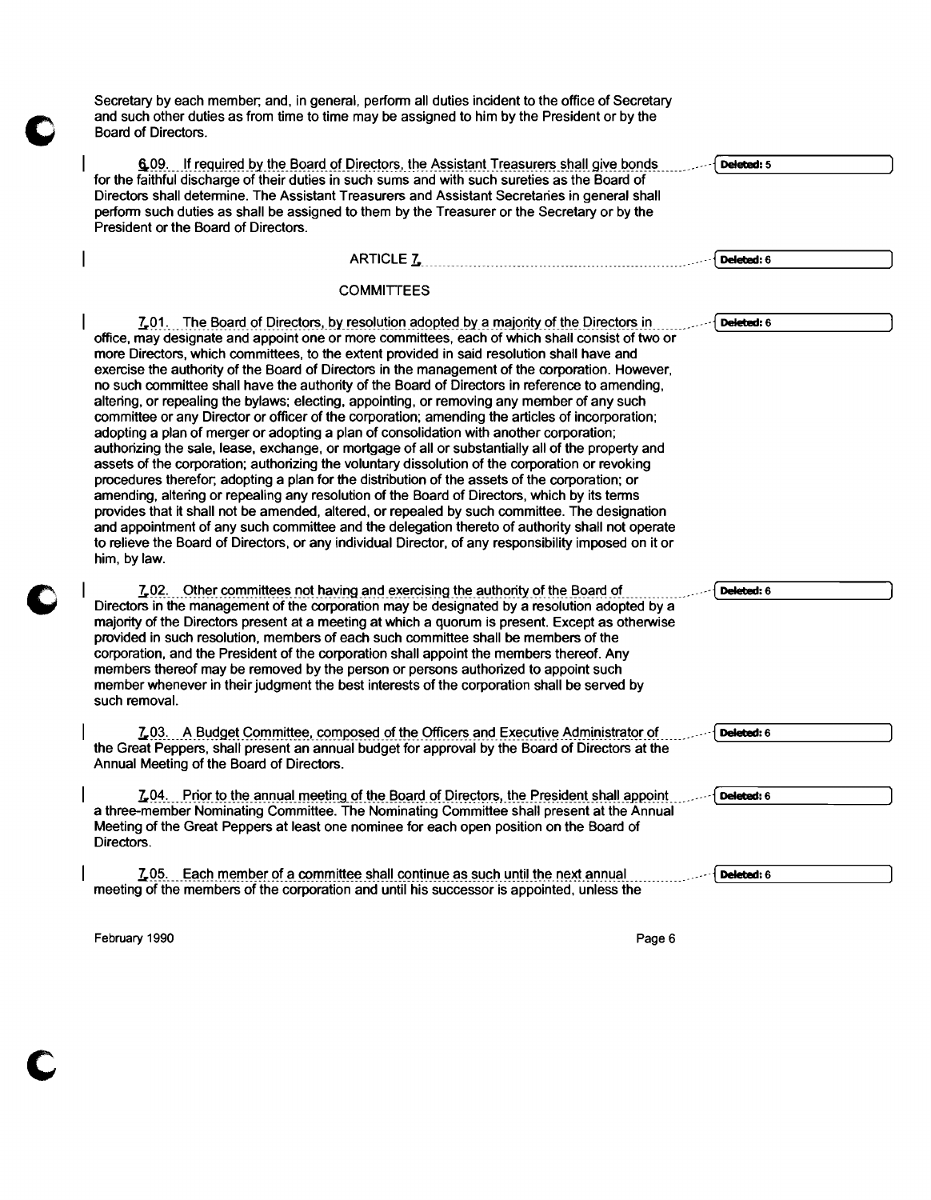Secretary by each member, and, in general, perform all duties incident to the office of Secretary and such other duties as from time to time may be assigned to him by the President or by the Board of Directors. 6.09. If required by the Board of Directors, the Assistant Treasurers shall give bonds for the faithful discharge of their duties in such sums and with such sureties as the Board of Directors shall determine. The Assistant Treasurers and Assistant Secretaries in general shall perform such duties as shall be assigned to them by the Treasurer or the Secretary or by the President or the Board of Directors. ARTICLE 7. **COMMITTEES** L<sub>2</sub>01. The Board of Directors, by resolution adopted by a majority of the Directors in office, may designate and appoint one or more committees, each of which shall consist of two or more Directors, which committees, to the extent provided in said resolution shall have and exercise the authority of the Board of Directors in the management of the corporation. However, no such committee shall have the authority of the Board of Directors in reference to amending, altering, or repealing the bylaws; electing, appointing, or removing any member of any such committee or any Director or officer of the corporation; amending the articles of incorporation; adopting a plan of merger or adopting a plan of consolidation with another corporation; authorizing the sale, lease, exchange, or mortgage of all or substantially all of the property and assets of the corporation; authorizing the voluntary dissolution of the corporation or revoking procedures therefor, adopting a plan for the distribution of the assets of the corporation; or amending, altering or repealing any resolution of the Board of Directors, which by its terms provides that it shall not be amended, altered, or repealed by such committee. The designation and appointment of any such committee and the delegation thereto of authority shall not operate to relieve the Board of Directors, or any individual Director, of any responsibility imposed on it or him, bylaw. 7.02. Other committees not having and exercising the authority of the Board of Directors in the management of the corporation may be designated by a resolution adopted by a majority of the Directors present at a meeting at which a quorum is present. Except as otherwise provided in such resolution, members of each such committee shall be members of the corporation, and the President of the corporation shall appoint the members thereof. Any members thereof may be removed by the person or persons authorized to appoint such member whenever in their judgment the best interests of the corporation shall be served by such removal. 7.03. A Budget Committee, composed of the Officers and Executive Administrator of the Great Peppers. shall present an annual budget for approval by the Board of Directors at the Annual Meeting of the Board of Directors. L04. Prior to the annual meeting of the Board of Directors, the President shall appoint a three-member Nominating Committee. The Nominating Committee shall present at the Annual Meeting of the Great Peppers at least one nominee for each open position on the Board of Directors.  $L$ <sub>2</sub>05. Each member of a committee shall continue as such until the next annual meeting of the members of the corporation and until his successor is appointed. unless the Deleted: 5  $\frac{1}{\frac{1}{\sqrt{1-\frac{1}{\sqrt{1-\frac{1}{\sqrt{1-\frac{1}{\sqrt{1-\frac{1}{\sqrt{1-\frac{1}{\sqrt{1-\frac{1}{\sqrt{1-\frac{1}{\sqrt{1-\frac{1}{\sqrt{1-\frac{1}{\sqrt{1-\frac{1}{\sqrt{1-\frac{1}{\sqrt{1-\frac{1}{\sqrt{1-\frac{1}{\sqrt{1-\frac{1}{\sqrt{1-\frac{1}{\sqrt{1-\frac{1}{\sqrt{1-\frac{1}{\sqrt{1-\frac{1}{\sqrt{1-\frac{1}{\sqrt{1-\frac{1}{\sqrt{1-\frac{1}{\sqrt{1-\frac{1}{\sqrt{1-\frac{1}{\sqrt{$ Deleted: 6 Deleted: 6 Deleted: 6 Deleted: 6 Deleted: 6

February 1990 Page 6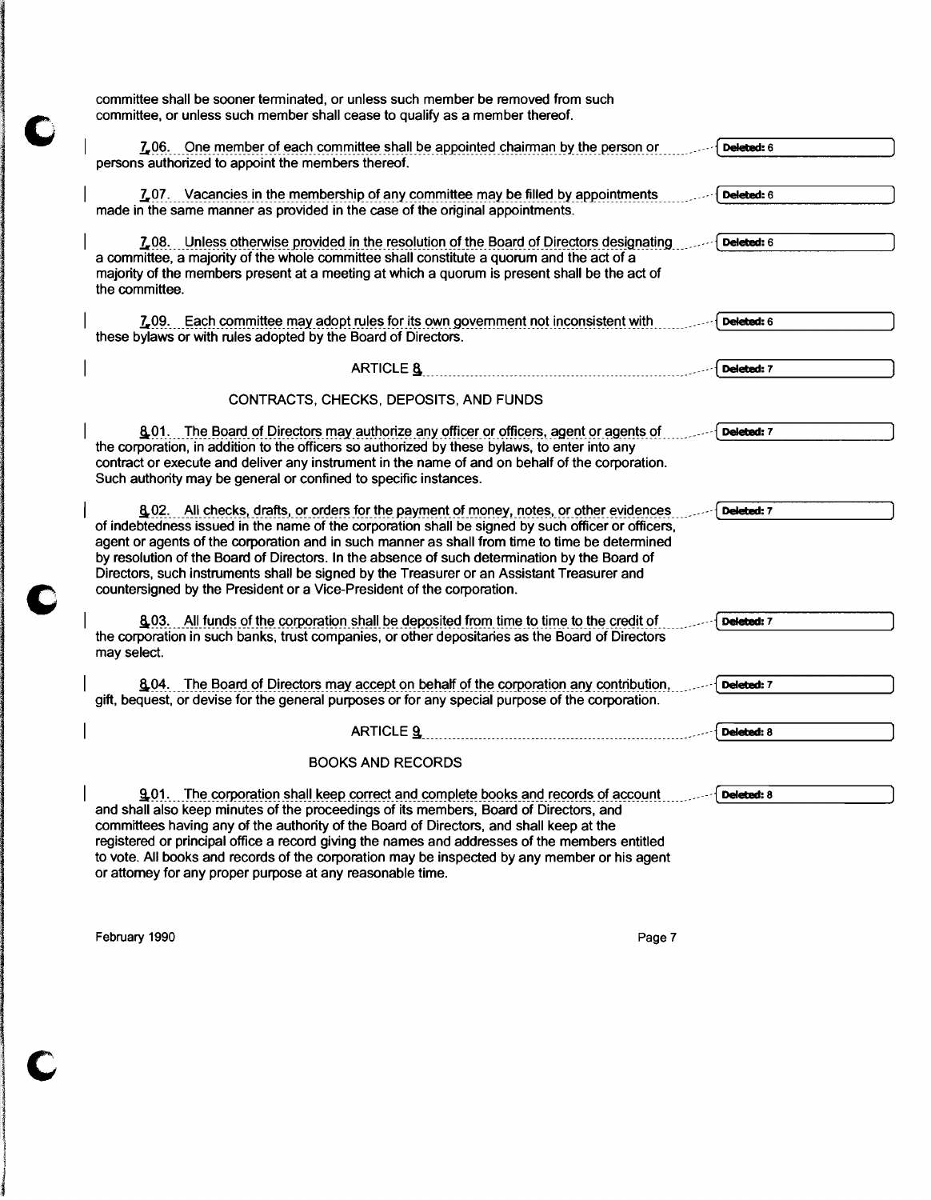| committee shall be sooner terminated, or unless such member be removed from such<br>committee, or unless such member shall cease to qualify as a member thereof.                                                                                                                                                                                                                                                                                                                                                                                                         |            |
|--------------------------------------------------------------------------------------------------------------------------------------------------------------------------------------------------------------------------------------------------------------------------------------------------------------------------------------------------------------------------------------------------------------------------------------------------------------------------------------------------------------------------------------------------------------------------|------------|
| 7.06. One member of each committee shall be appointed chairman by the person or<br>persons authorized to appoint the members thereof.                                                                                                                                                                                                                                                                                                                                                                                                                                    | Deleted: 6 |
| 7.07. Vacancies in the membership of any committee may be filled by appointments<br>made in the same manner as provided in the case of the original appointments.                                                                                                                                                                                                                                                                                                                                                                                                        | Deleted: 6 |
| 7.08. Unless otherwise provided in the resolution of the Board of Directors designating<br>a committee, a majority of the whole committee shall constitute a quorum and the act of a<br>majority of the members present at a meeting at which a quorum is present shall be the act of<br>the committee.                                                                                                                                                                                                                                                                  | Deleted: 6 |
| 7.09. Each committee may adopt rules for its own government not inconsistent with<br>these bylaws or with rules adopted by the Board of Directors.                                                                                                                                                                                                                                                                                                                                                                                                                       | Deleted: 6 |
| ARTICLE 8                                                                                                                                                                                                                                                                                                                                                                                                                                                                                                                                                                | Deleted: 7 |
| CONTRACTS, CHECKS, DEPOSITS, AND FUNDS                                                                                                                                                                                                                                                                                                                                                                                                                                                                                                                                   |            |
| 8.01. The Board of Directors may authorize any officer or officers, agent or agents of<br>the corporation, in addition to the officers so authorized by these bylaws, to enter into any<br>contract or execute and deliver any instrument in the name of and on behalf of the corporation.<br>Such authority may be general or confined to specific instances.                                                                                                                                                                                                           | Deleted: 7 |
| 8.02. All checks, drafts, or orders for the payment of money, notes, or other evidences<br>of indebtedness issued in the name of the corporation shall be signed by such officer or officers,<br>agent or agents of the corporation and in such manner as shall from time to time be determined<br>by resolution of the Board of Directors. In the absence of such determination by the Board of<br>Directors, such instruments shall be signed by the Treasurer or an Assistant Treasurer and<br>countersigned by the President or a Vice-President of the corporation. | Deleted: 7 |
| 8.03. All funds of the corporation shall be deposited from time to time to the credit of<br>the corporation in such banks, trust companies, or other depositaries as the Board of Directors<br>may select.                                                                                                                                                                                                                                                                                                                                                               | Deleted: 7 |
| 6.04. The Board of Directors may accept on behalf of the corporation any contribution,<br>gift, bequest, or devise for the general purposes or for any special purpose of the corporation.                                                                                                                                                                                                                                                                                                                                                                               | Deleted: 7 |
| <b>ARTICLE 9</b>                                                                                                                                                                                                                                                                                                                                                                                                                                                                                                                                                         | Deleted: 8 |
| <b>BOOKS AND RECORDS</b>                                                                                                                                                                                                                                                                                                                                                                                                                                                                                                                                                 |            |
| <b>901.</b> The corporation shall keep correct and complete books and records of account<br>and shall also keep minutes of the proceedings of its members, Board of Directors, and<br>committees having any of the authority of the Board of Directors, and shall keep at the<br>registered or principal office a record giving the names and addresses of the members entitled<br>to vote. All books and records of the corporation may be inspected by any member or his agent<br>or attorney for any proper purpose at any reasonable time.                           | Deleted: 8 |

February 1990 Page 7

1<br>1<br>1

 $\Gamma$ 

C

O

I I j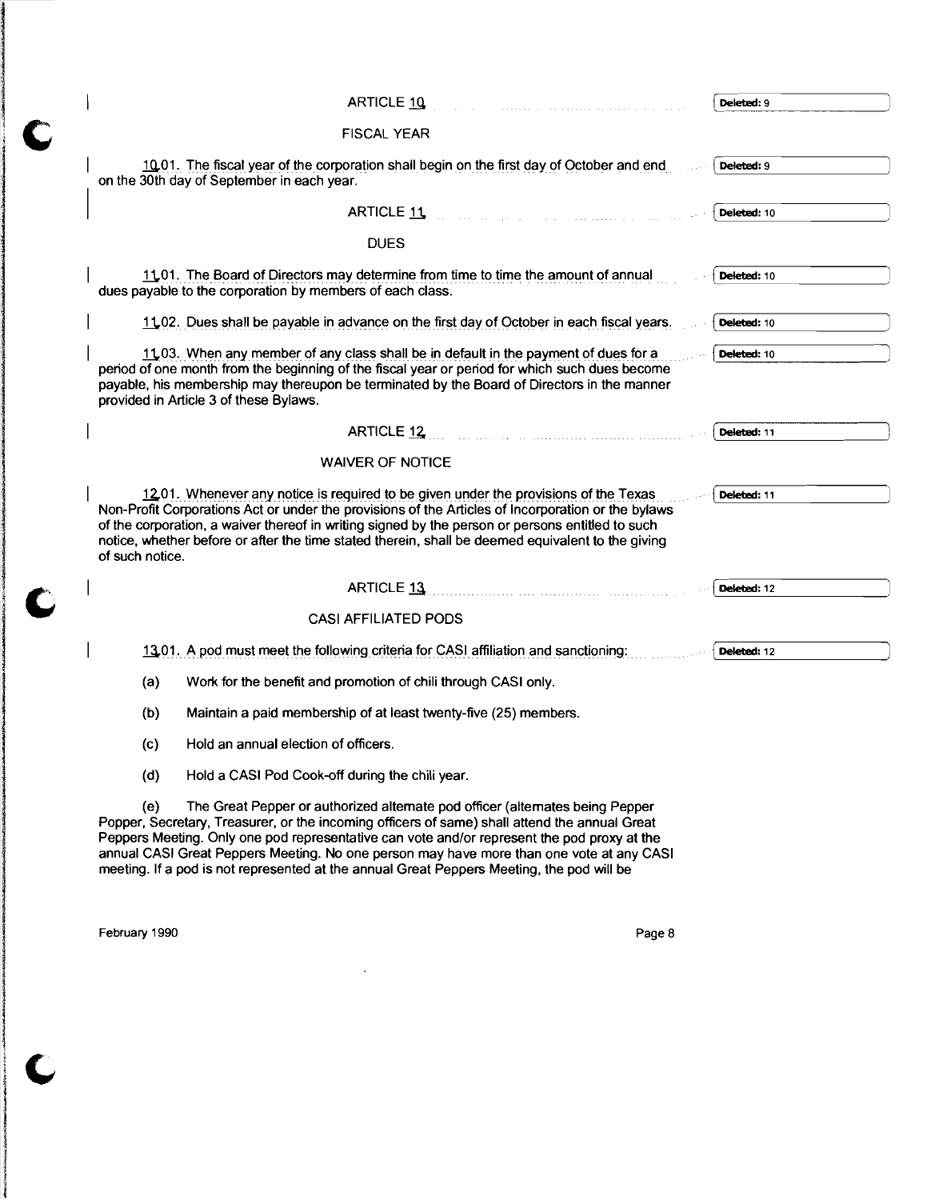|                 | ARTICLE 10                                                                                                                                                                                                                                                                                                                                                                                                                                                             | Deleted: 9  |
|-----------------|------------------------------------------------------------------------------------------------------------------------------------------------------------------------------------------------------------------------------------------------------------------------------------------------------------------------------------------------------------------------------------------------------------------------------------------------------------------------|-------------|
|                 | <b>FISCAL YEAR</b>                                                                                                                                                                                                                                                                                                                                                                                                                                                     |             |
|                 | 10.01. The fiscal year of the corporation shall begin on the first day of October and end<br>on the 30th day of September in each year.                                                                                                                                                                                                                                                                                                                                | Deleted: 9  |
|                 | ARTICLE 11                                                                                                                                                                                                                                                                                                                                                                                                                                                             | Deleted: 10 |
|                 | <b>DUES</b>                                                                                                                                                                                                                                                                                                                                                                                                                                                            |             |
|                 | 11.01. The Board of Directors may determine from time to time the amount of annual<br>dues payable to the corporation by members of each class.                                                                                                                                                                                                                                                                                                                        | Deleted: 10 |
|                 | 11.02. Dues shall be payable in advance on the first day of October in each fiscal years.                                                                                                                                                                                                                                                                                                                                                                              | Deleted: 10 |
|                 | 11.03. When any member of any class shall be in default in the payment of dues for a<br>period of one month from the beginning of the fiscal year or period for which such dues become<br>payable, his membership may thereupon be terminated by the Board of Directors in the manner<br>provided in Article 3 of these Bylaws.                                                                                                                                        | Deleted: 10 |
|                 | ARTICLE 12 2000 12 2000 12 2000 12:00:00 2000 12:00:00 2000 12:00 2000 12:00 2000 12:00 2000 12:00 2000 12:00                                                                                                                                                                                                                                                                                                                                                          | Deleted: 11 |
|                 | <b>WAIVER OF NOTICE</b>                                                                                                                                                                                                                                                                                                                                                                                                                                                |             |
| of such notice. | 1201. Whenever any notice is required to be given under the provisions of the Texas<br>Non-Profit Corporations Act or under the provisions of the Articles of Incorporation or the bylaws<br>of the corporation, a waiver thereof in writing signed by the person or persons entitled to such<br>notice, whether before or after the time stated therein, shall be deemed equivalent to the giving                                                                     | Deleted: 11 |
|                 | ARTICLE 13                                                                                                                                                                                                                                                                                                                                                                                                                                                             | Deleted: 12 |
|                 | <b>CASI AFFILIATED PODS</b>                                                                                                                                                                                                                                                                                                                                                                                                                                            |             |
|                 | 13.01. A pod must meet the following criteria for CASI affiliation and sanctioning:                                                                                                                                                                                                                                                                                                                                                                                    | Deleted: 12 |
| (a)             | Work for the benefit and promotion of chili through CASI only.                                                                                                                                                                                                                                                                                                                                                                                                         |             |
| (b)             | Maintain a paid membership of at least twenty-five (25) members.                                                                                                                                                                                                                                                                                                                                                                                                       |             |
| (c)             | Hold an annual election of officers.                                                                                                                                                                                                                                                                                                                                                                                                                                   |             |
| (d)             | Hold a CASI Pod Cook-off during the chili year.                                                                                                                                                                                                                                                                                                                                                                                                                        |             |
| (e)             | The Great Pepper or authorized alternate pod officer (alternates being Pepper<br>Popper, Secretary, Treasurer, or the incoming officers of same) shall attend the annual Great<br>Peppers Meeting. Only one pod representative can vote and/or represent the pod proxy at the<br>annual CASI Great Peppers Meeting. No one person may have more than one vote at any CASI<br>meeting. If a pod is not represented at the annual Great Peppers Meeting, the pod will be |             |

 $\sim$   $\sim$ 

February 1990 **Page 8** 

Ì

C

Ċ

 $\mathbf C$ 

j